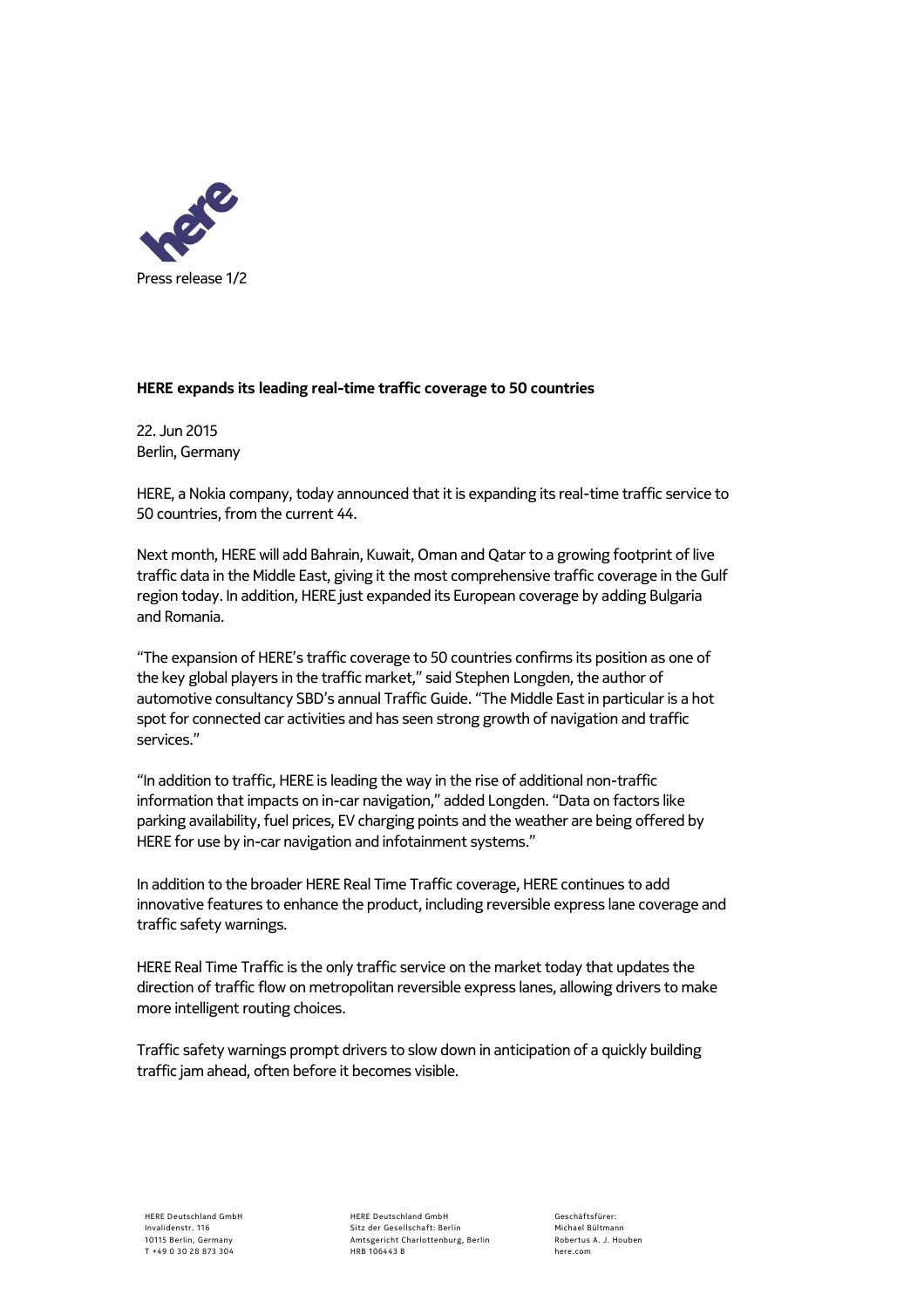

## **HERE expands its leading real-time traffic coverage to 50 countries**

22. Jun 2015 Berlin, Germany

HERE, a Nokia company, today announced that it is expanding its real-time traffic service to 50 countries, from the current 44.

Next month, HERE will add Bahrain, Kuwait, Oman and Qatar to a growing footprint of live traffic data in the Middle East, giving it the most comprehensive traffic coverage in the Gulf region today. In addition, HERE just expanded its European coverage by adding Bulgaria and Romania.

"The expansion of HERE's traffic coverage to 50 countries confirms its position as one of the key global players in the traffic market," said Stephen Longden, the author of automotive consultancy SBD's annual Traffic Guide. "The Middle East in particular is a hot spot for connected car activities and has seen strong growth of navigation and traffic services."

"In addition to traffic, HERE is leading the way in the rise of additional non-traffic information that impacts on in-car navigation," added Longden. "Data on factors like parking availability, fuel prices, EV charging points and the weather are being offered by HERE for use by in-car navigation and infotainment systems."

In addition to the broader HERE Real Time Traffic coverage, HERE continues to add innovative features to enhance the product, including reversible express lane coverage and traffic safety warnings.

HERE Real Time Traffic is the only traffic service on the market today that updates the direction of traffic flow on metropolitan reversible express lanes, allowing drivers to make more intelligent routing choices.

Traffic safety warnings prompt drivers to slow down in anticipation of a quickly building traffic jam ahead, often before it becomes visible.

HERE Deutschland GmbH Sitz der Gesellschaft: Berlin Amtsgericht Charlottenburg, Berlin HRB 106443 B